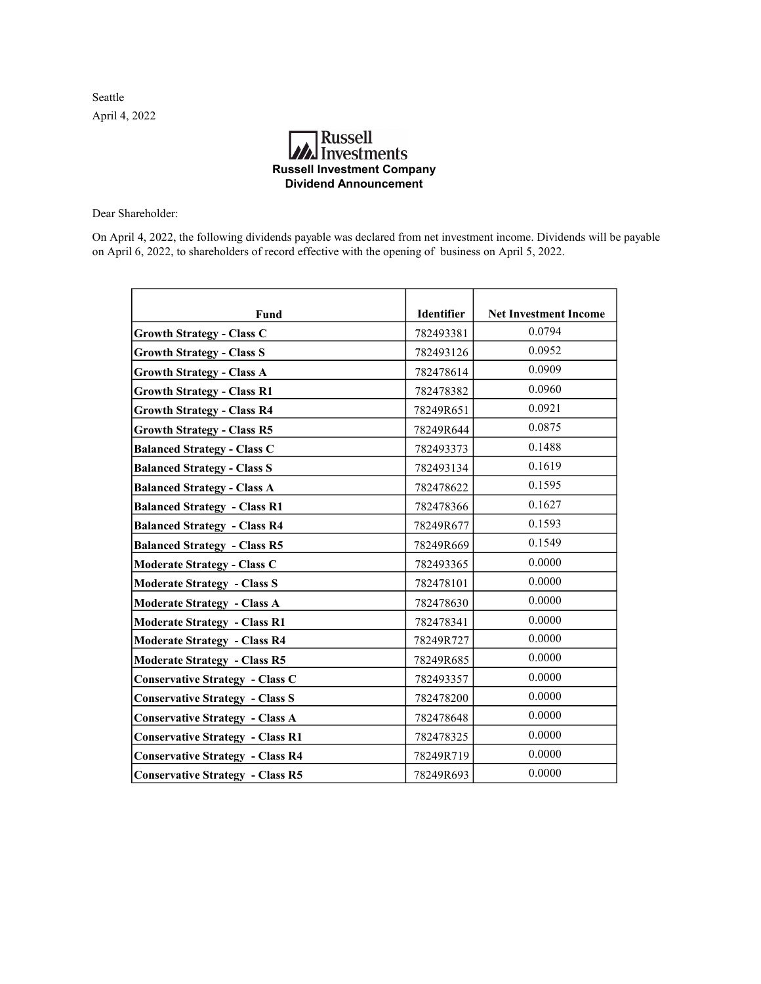Seattle April 4, 2022

## **A**<br>Investments Russell Investment Company Dividend Announcement

Dear Shareholder:

On April 4, 2022, the following dividends payable was declared from net investment income. Dividends will be payable on April 6, 2022, to shareholders of record effective with the opening of business on April 5, 2022.

| Fund                                    | Identifier | <b>Net Investment Income</b> |
|-----------------------------------------|------------|------------------------------|
| <b>Growth Strategy - Class C</b>        | 782493381  | 0.0794                       |
| <b>Growth Strategy - Class S</b>        | 782493126  | 0.0952                       |
| <b>Growth Strategy - Class A</b>        | 782478614  | 0.0909                       |
| <b>Growth Strategy - Class R1</b>       | 782478382  | 0.0960                       |
| <b>Growth Strategy - Class R4</b>       | 78249R651  | 0.0921                       |
| <b>Growth Strategy - Class R5</b>       | 78249R644  | 0.0875                       |
| <b>Balanced Strategy - Class C</b>      | 782493373  | 0.1488                       |
| <b>Balanced Strategy - Class S</b>      | 782493134  | 0.1619                       |
| <b>Balanced Strategy - Class A</b>      | 782478622  | 0.1595                       |
| <b>Balanced Strategy - Class R1</b>     | 782478366  | 0.1627                       |
| <b>Balanced Strategy - Class R4</b>     | 78249R677  | 0.1593                       |
| <b>Balanced Strategy - Class R5</b>     | 78249R669  | 0.1549                       |
| <b>Moderate Strategy - Class C</b>      | 782493365  | 0.0000                       |
| <b>Moderate Strategy - Class S</b>      | 782478101  | 0.0000                       |
| <b>Moderate Strategy - Class A</b>      | 782478630  | 0.0000                       |
| <b>Moderate Strategy - Class R1</b>     | 782478341  | 0.0000                       |
| <b>Moderate Strategy - Class R4</b>     | 78249R727  | 0.0000                       |
| <b>Moderate Strategy - Class R5</b>     | 78249R685  | 0.0000                       |
| <b>Conservative Strategy - Class C</b>  | 782493357  | 0.0000                       |
| <b>Conservative Strategy - Class S</b>  | 782478200  | 0.0000                       |
| <b>Conservative Strategy - Class A</b>  | 782478648  | 0.0000                       |
| <b>Conservative Strategy - Class R1</b> | 782478325  | 0.0000                       |
| <b>Conservative Strategy - Class R4</b> | 78249R719  | 0.0000                       |
| <b>Conservative Strategy - Class R5</b> | 78249R693  | 0.0000                       |